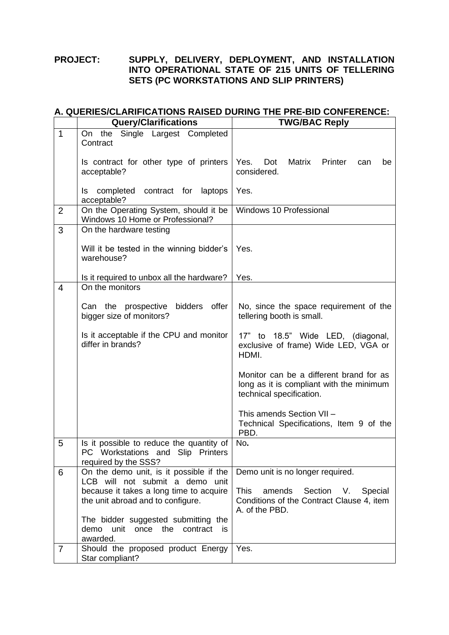## **PROJECT: SUPPLY, DELIVERY, DEPLOYMENT, AND INSTALLATION INTO OPERATIONAL STATE OF 215 UNITS OF TELLERING SETS (PC WORKSTATIONS AND SLIP PRINTERS)**

## **A. QUERIES/CLARIFICATIONS RAISED DURING THE PRE-BID CONFERENCE:**

|                | <b>Query/Clarifications</b>                                                                                        | <b>TWG/BAC Reply</b>                                                                                             |
|----------------|--------------------------------------------------------------------------------------------------------------------|------------------------------------------------------------------------------------------------------------------|
| $\mathbf 1$    | Single Largest Completed<br>On the<br>Contract                                                                     |                                                                                                                  |
|                | Is contract for other type of printers<br>acceptable?                                                              | Yes.<br>Dot<br>Matrix<br>Printer<br>can<br>be<br>considered.                                                     |
|                | completed contract for laptops<br>Is<br>acceptable?                                                                | Yes.                                                                                                             |
| $\overline{2}$ | On the Operating System, should it be<br>Windows 10 Home or Professional?                                          | Windows 10 Professional                                                                                          |
| 3              | On the hardware testing                                                                                            |                                                                                                                  |
|                | Will it be tested in the winning bidder's<br>warehouse?                                                            | Yes.                                                                                                             |
|                | Is it required to unbox all the hardware?                                                                          | Yes.                                                                                                             |
| $\overline{4}$ | On the monitors                                                                                                    |                                                                                                                  |
|                | Can the prospective bidders offer<br>bigger size of monitors?                                                      | No, since the space requirement of the<br>tellering booth is small.                                              |
|                | Is it acceptable if the CPU and monitor<br>differ in brands?                                                       | 17" to 18.5" Wide LED, (diagonal,<br>exclusive of frame) Wide LED, VGA or<br>HDMI.                               |
|                |                                                                                                                    | Monitor can be a different brand for as<br>long as it is compliant with the minimum<br>technical specification.  |
|                |                                                                                                                    | This amends Section VII-<br>Technical Specifications, Item 9 of the<br>PBD.                                      |
| 5              | Is it possible to reduce the quantity of<br>PC Workstations<br>and Slip<br><b>Printers</b><br>required by the SSS? | No.                                                                                                              |
| 6              | On the demo unit, is it possible if the<br>LCB will not submit a demo unit                                         | Demo unit is no longer required.                                                                                 |
|                | because it takes a long time to acquire<br>the unit abroad and to configure.                                       | <b>This</b><br>amends<br>Section<br>V.<br>Special<br>Conditions of the Contract Clause 4, item<br>A. of the PBD. |
|                | The bidder suggested submitting the<br>demo unit once the<br>contract<br>is.<br>awarded.                           |                                                                                                                  |
| $\overline{7}$ | Should the proposed product Energy<br>Star compliant?                                                              | Yes.                                                                                                             |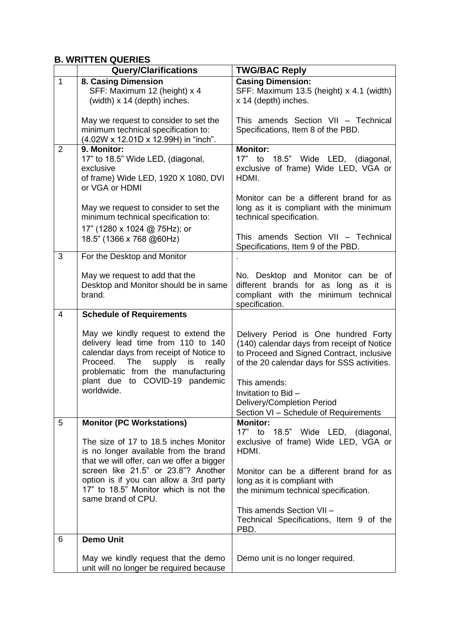## **B. WRITTEN QUERIES**

|                | <b>Query/Clarifications</b>                                                                                                                                                                                                                                                 | <b>TWG/BAC Reply</b>                                                                                                                                                                                                                                                                         |
|----------------|-----------------------------------------------------------------------------------------------------------------------------------------------------------------------------------------------------------------------------------------------------------------------------|----------------------------------------------------------------------------------------------------------------------------------------------------------------------------------------------------------------------------------------------------------------------------------------------|
| $\mathbf{1}$   | 8. Casing Dimension<br>SFF: Maximum 12 (height) x 4<br>(width) x 14 (depth) inches.                                                                                                                                                                                         | <b>Casing Dimension:</b><br>SFF: Maximum 13.5 (height) x 4.1 (width)<br>x 14 (depth) inches.                                                                                                                                                                                                 |
|                | May we request to consider to set the<br>minimum technical specification to:<br>(4.02W x 12.01D x 12.99H) in "inch".                                                                                                                                                        | This amends Section VII - Technical<br>Specifications, Item 8 of the PBD.                                                                                                                                                                                                                    |
| $\overline{2}$ | 9. Monitor:<br>17" to 18.5" Wide LED, (diagonal,<br>exclusive<br>of frame) Wide LED, 1920 X 1080, DVI<br>or VGA or HDMI                                                                                                                                                     | <b>Monitor:</b><br>17" to 18.5" Wide LED, (diagonal,<br>exclusive of frame) Wide LED, VGA or<br>HDMI.                                                                                                                                                                                        |
|                | May we request to consider to set the<br>minimum technical specification to:<br>17" (1280 x 1024 @ 75Hz); or<br>18.5" (1366 x 768 @60Hz)                                                                                                                                    | Monitor can be a different brand for as<br>long as it is compliant with the minimum<br>technical specification.<br>This amends Section VII - Technical                                                                                                                                       |
| 3              | For the Desktop and Monitor                                                                                                                                                                                                                                                 | Specifications, Item 9 of the PBD.                                                                                                                                                                                                                                                           |
|                | May we request to add that the<br>Desktop and Monitor should be in same<br>brand.                                                                                                                                                                                           | No. Desktop and Monitor can be of<br>different brands for as long as it is<br>compliant with the minimum technical<br>specification.                                                                                                                                                         |
| 4              | <b>Schedule of Requirements</b>                                                                                                                                                                                                                                             |                                                                                                                                                                                                                                                                                              |
|                | May we kindly request to extend the<br>delivery lead time from 110 to 140<br>calendar days from receipt of Notice to<br>Proceed. The<br>supply is<br>really<br>problematic from the manufacturing<br>plant due to COVID-19 pandemic<br>worldwide.                           | Delivery Period is One hundred Forty<br>(140) calendar days from receipt of Notice<br>to Proceed and Signed Contract, inclusive<br>of the 20 calendar days for SSS activities.<br>This amends:<br>Invitation to Bid -<br>Delivery/Completion Period<br>Section VI - Schedule of Requirements |
| 5              | <b>Monitor (PC Workstations)</b>                                                                                                                                                                                                                                            | <b>Monitor:</b>                                                                                                                                                                                                                                                                              |
|                | The size of 17 to 18.5 inches Monitor<br>is no longer available from the brand<br>that we will offer, can we offer a bigger<br>screen like 21.5" or 23.8"? Another<br>option is if you can allow a 3rd party<br>17" to 18.5" Monitor which is not the<br>same brand of CPU. | 17" to 18.5" Wide LED, (diagonal,<br>exclusive of frame) Wide LED, VGA or<br>HDMI.<br>Monitor can be a different brand for as<br>long as it is compliant with<br>the minimum technical specification.<br>This amends Section VII -                                                           |
|                |                                                                                                                                                                                                                                                                             | Technical Specifications, Item 9 of the<br>PBD.                                                                                                                                                                                                                                              |
| 6              | <b>Demo Unit</b>                                                                                                                                                                                                                                                            |                                                                                                                                                                                                                                                                                              |
|                | May we kindly request that the demo<br>unit will no longer be required because                                                                                                                                                                                              | Demo unit is no longer required.                                                                                                                                                                                                                                                             |